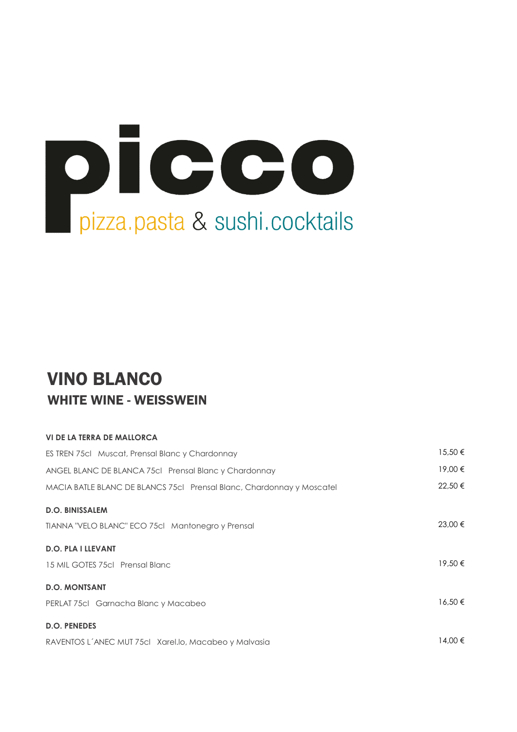

#### VINO BLANCO WHITE WINE - WEISSWEIN

#### VI DE LA TERRA DE MALLORCA

| ES TREN 75cl Muscat, Prensal Blanc y Chardonnay                       | $15,50 \in$ |
|-----------------------------------------------------------------------|-------------|
| ANGEL BLANC DE BLANCA 75cl Prensal Blanc y Chardonnay                 | 19,00 €     |
| MACIA BATLE BLANC DE BLANCS 75cl Prensal Blanc, Chardonnay y Moscatel | 22,50 €     |
| <b>D.O. BINISSALEM</b>                                                |             |
| TIANNA "VELO BLANC" ECO 75cl Mantonegro y Prensal                     | 23,00 €     |
| <b>D.O. PLA I LLEVANT</b>                                             |             |
| 15 MIL GOTES 75cl Prensal Blanc                                       | 19,50 €     |
| <b>D.O. MONTSANT</b>                                                  |             |
| PERLAT 75cl Garnacha Blanc y Macabeo                                  | $16.50 \in$ |
| <b>D.O. PENEDES</b>                                                   |             |
| RAVENTOS L'ANEC MUT 75cl Xarel.lo, Macabeo y Malvasia                 | 14.00 €     |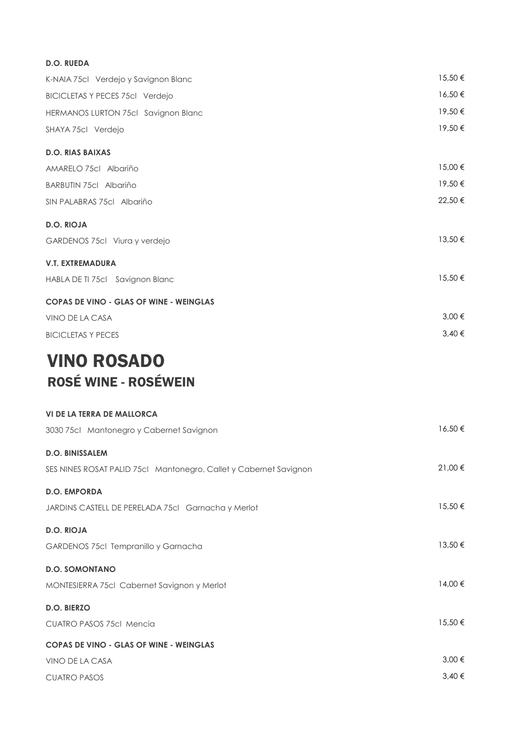| <b>D.O. RUEDA</b>                              |         |
|------------------------------------------------|---------|
| K-NAIA 75cl Verdejo y Savignon Blanc           | 15,50€  |
| <b>BICICLETAS Y PECES 75cl Verdejo</b>         | 16,50€  |
| HERMANOS LURTON 75cl Savignon Blanc            | 19,50€  |
| SHAYA 75cl Verdejo                             | 19,50€  |
| <b>D.O. RIAS BAIXAS</b>                        |         |
| AMARELO 75cl Albariño                          | 15,00€  |
| BARBUTIN 75cl Albariño                         | 19,50€  |
| SIN PALABRAS 75cl Albariño                     | 22,50€  |
| <b>D.O. RIOJA</b>                              |         |
| GARDENOS 75cl Viura y verdejo                  | 13,50 € |
| <b>V.T. EXTREMADURA</b>                        |         |
| HABLA DE TI 75cl Savignon Blanc                | 15,50€  |
| <b>COPAS DE VINO - GLAS OF WINE - WEINGLAS</b> |         |
| VINO DE LA CASA                                | 3,00 €  |
| <b>BICICLETAS Y PECES</b>                      | 3,40 €  |
| <b>VINO ROSADO</b>                             |         |

# ROSÉ WINE - ROSÉWEIN

| <b>VI DE LA TERRA DE MALLORCA</b>                                 |            |
|-------------------------------------------------------------------|------------|
| 3030 75cl Mantonegro y Cabernet Savignon                          | 16,50€     |
| <b>D.O. BINISSALEM</b>                                            |            |
| SES NINES ROSAT PALID 75cl Mantonegro, Callet y Cabernet Savignon | 21,00 €    |
| <b>D.O. EMPORDA</b>                                               |            |
| JARDINS CASTELL DE PERELADA 75cl Garnacha y Merlot                | 15,50€     |
| <b>D.O. RIOJA</b>                                                 |            |
| GARDENOS 75cl Tempranillo y Garnacha                              | 13,50€     |
| <b>D.O. SOMONTANO</b>                                             |            |
| MONTESIERRA 75cl Cabernet Savignon y Merlot                       | 14,00 €    |
| <b>D.O. BIERZO</b>                                                |            |
| <b>CUATRO PASOS 75cl Mencia</b>                                   | 15,50€     |
| <b>COPAS DE VINO - GLAS OF WINE - WEINGLAS</b>                    |            |
| VINO DE LA CASA                                                   | $3,00 \in$ |
| <b>CUATRO PASOS</b>                                               | $3,40 \in$ |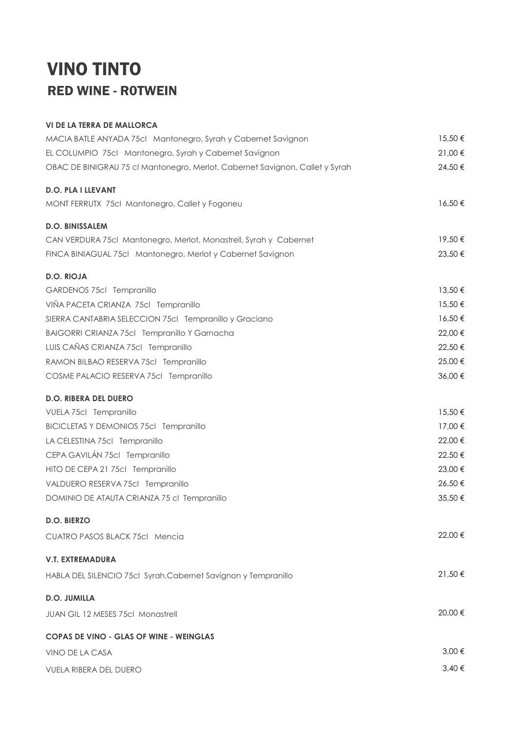### VINO TINTO RED WINE - R0TWEIN

| <b>VI DE LA TERRA DE MALLORCA</b>                                            |            |
|------------------------------------------------------------------------------|------------|
| MACIA BATLE ANYADA 75cl Mantonegro, Syrah y Cabernet Savignon                | 15,50 €    |
| EL COLUMPIO 75cl Mantonegro, Syrah y Cabernet Savignon                       | 21,00 €    |
| OBAC DE BINIGRAU 75 cl Mantonegro, Merlot, Cabernet Savignon, Callet y Syrah | 24,50€     |
| <b>D.O. PLA I LLEVANT</b>                                                    |            |
| MONT FERRUTX 75cl Mantonegro, Callet y Fogoneu                               | 16,50€     |
| <b>D.O. BINISSALEM</b>                                                       |            |
| CAN VERDURA 75cl Mantonegro, Merlot, Monastrell, Syrah y Cabernet            | 19,50€     |
| FINCA BINIAGUAL 75cl Mantonegro, Merlot y Cabernet Savignon                  | 23,50 €    |
| <b>D.O. RIOJA</b>                                                            |            |
| GARDENOS 75cl Tempranillo                                                    | 13,50€     |
| VIÑA PACETA CRIANZA 75cl Tempranillo                                         | 15,50€     |
| SIERRA CANTABRIA SELECCION 75cl Tempranillo y Graciano                       | 16,50€     |
| BAIGORRI CRIANZA 75cl Tempranillo Y Garnacha                                 | 22,00 €    |
| LUIS CAÑAS CRIANZA 75cl Tempranillo                                          | 22,50 €    |
| RAMON BILBAO RESERVA 75cl Tempranillo                                        | 25,00 €    |
| COSME PALACIO RESERVA 75cl Tempranillo                                       | 36,00€     |
| <b>D.O. RIBERA DEL DUERO</b>                                                 |            |
| VUELA 75cl Tempranillo                                                       | 15,50€     |
| <b>BICICLETAS Y DEMONIOS 75cl Tempranillo</b>                                | 17,00 €    |
| LA CELESTINA 75cl Tempranillo                                                | 22,00 €    |
| CEPA GAVILÁN 75cl Tempranillo                                                | 22,50€     |
| HITO DE CEPA 21 75cl Tempranillo                                             | 23,00 €    |
| VALDUERO RESERVA 75cl Tempranillo                                            | 26,50€     |
| DOMINIO DE ATAUTA CRIANZA 75 cl Tempranillo                                  | 35,50€     |
| D.O. BIERZO                                                                  |            |
| <b>CUATRO PASOS BLACK 75cl Mencia</b>                                        | 22,00 €    |
| <b>V.T. EXTREMADURA</b>                                                      |            |
| HABLA DEL SILENCIO 75cl Syrah, Cabernet Savignon y Tempranillo               | 21,50€     |
| <b>D.O. JUMILLA</b>                                                          |            |
| <b>JUAN GIL 12 MESES 75cl Monastrell</b>                                     | 20,00 €    |
| <b>COPAS DE VINO - GLAS OF WINE - WEINGLAS</b>                               |            |
| VINO DE LA CASA                                                              | 3,00 €     |
| <b>VUELA RIBERA DEL DUERO</b>                                                | $3,40 \in$ |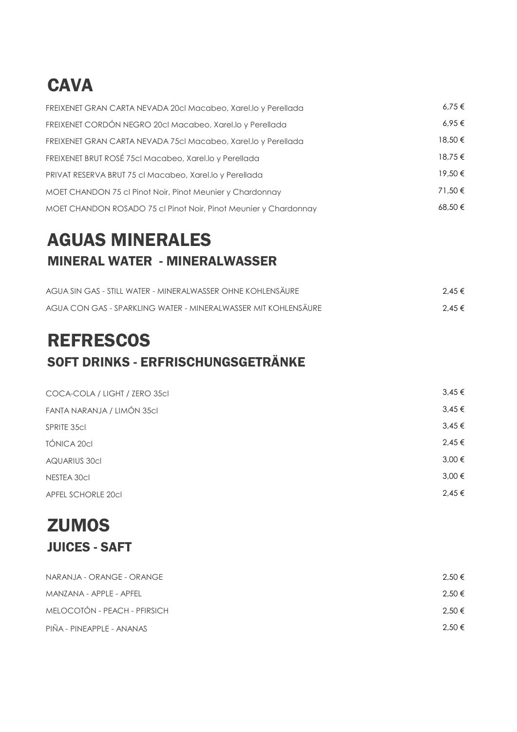# **CAVA**

| FREIXENET GRAN CARTA NEVADA 20cl Macabeo, Xarel.lo y Perellada   | 6.75€   |
|------------------------------------------------------------------|---------|
| FREIXENET CORDÓN NEGRO 20cl Macabeo, Xarel.lo y Perellada        | 6.95€   |
| FREIXENET GRAN CARTA NEVADA 75cl Macabeo, Xarel.lo y Perellada   | 18,50 € |
| FREIXENET BRUT ROSÉ 75cl Macabeo, Xarel.lo y Perellada           | 18.75 € |
| PRIVAT RESERVA BRUT 75 cl Macabeo, Xarel.lo y Perellada          | 19,50€  |
| MOET CHANDON 75 cl Pinot Noir, Pinot Meunier y Chardonnay        | 71.50€  |
| MOET CHANDON ROSADO 75 cl Pinot Noir, Pinot Meunier y Chardonnay | 68.50€  |

### AGUAS MINERALES MINERAL WATER - MINERALWASSER

| AGUA SIN GAS - STILL WATER - MINERALWASSER OHNE KOHLENSÄURE    | $2.45 \in$ |
|----------------------------------------------------------------|------------|
| AGUA CON GAS - SPARKLING WATER - MINERALWASSER MIT KOHLENSÄURE | $2.45 \in$ |

# **REFRESCOS** SOFT DRINKS - ERFRISCHUNGSGETRÄNKE

| COCA-COLA / LIGHT / ZERO 35cl | $3,45 \in$ |
|-------------------------------|------------|
| FANTA NARANJA / LIMÓN 35cl    | $3,45 \in$ |
| <b>SPRITE 35cl</b>            | $3,45 \in$ |
| TÓNICA 20cl                   | $2,45 \in$ |
| <b>AQUARIUS 30cl</b>          | $3,00 \in$ |
| NESTEA 30cl                   | $3,00 \in$ |
| <b>APFEL SCHORLE 20cl</b>     | $2,45 \in$ |
|                               |            |

#### **ZUMOS** JUICES - SAFT

| NARANJA - ORANGE - ORANGE    | $2.50 \in$ |
|------------------------------|------------|
| MANZANA - APPLE - APFEL      | $2.50 \in$ |
| MELOCOTÓN - PEACH - PFIRSICH | $2.50 \in$ |
| PIÑA - PINEAPPLE - ANANAS    | 2.50 €     |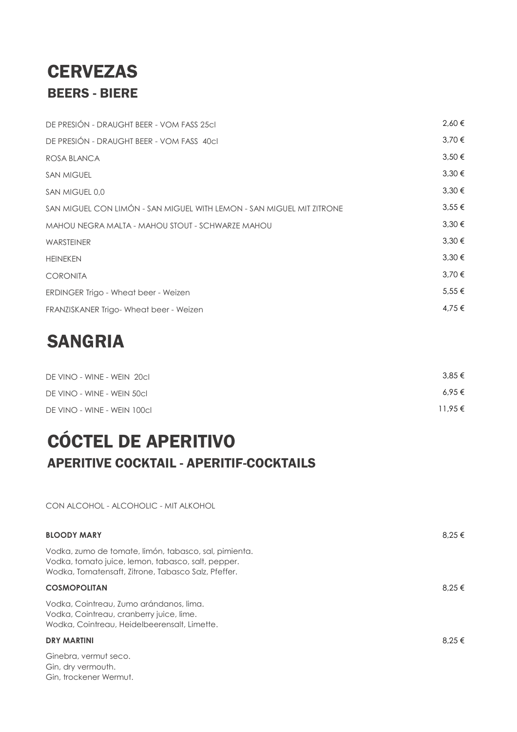#### **CERVEZAS** BEERS - BIERE

| DE PRESIÓN - DRAUGHT BEER - VOM FASS 25cl                             | 2,60€      |
|-----------------------------------------------------------------------|------------|
| DE PRESIÓN - DRAUGHT BEER - VOM FASS 40cl                             | 3,70€      |
| ROSA BLANCA                                                           | $3,50 \in$ |
| <b>SAN MIGUEL</b>                                                     | $3,30 \in$ |
| SAN MIGUEL 0,0                                                        | $3,30 \in$ |
| SAN MIGUEL CON LIMÓN - SAN MIGUEL WITH LEMON - SAN MIGUEL MIT ZITRONE | $3,55 \in$ |
| MAHOU NEGRA MALTA - MAHOU STOUT - SCHWARZE MAHOU                      | $3,30 \in$ |
| <b>WARSTEINER</b>                                                     | $3,30 \in$ |
| <b>HEINEKEN</b>                                                       | $3,30 \in$ |
| <b>CORONITA</b>                                                       | $3.70 \in$ |
| ERDINGER Trigo - Wheat beer - Weizen                                  | $5,55 \in$ |
| FRANZISKANER Trigo-Wheat beer - Weizen                                | 4,75 €     |

### SANGRIA

Gin, dry vermouth. Gin, trockener Wermut.

| DE VINO - WINE - WEIN 20CL  | 3.85 €      |
|-----------------------------|-------------|
| DE VINO - WINE - WEIN 50cl  | $6.95 \in$  |
| DE VINO - WINE - WEIN 100cl | $11.95 \in$ |

# CÓCTEL DE APERITIVO APERITIVE COCKTAIL - APERITIF-COCKTAILS

CON ALCOHOL - ALCOHOLIC - MIT ALKOHOL

| <b>BLOODY MARY</b>                                                                                                                                                 | 8.25 € |
|--------------------------------------------------------------------------------------------------------------------------------------------------------------------|--------|
| Vodka, zumo de tomate, limón, tabasco, sal, pimienta.<br>Vodka, tomato juice, lemon, tabasco, salt, pepper.<br>Wodka, Tomatensaft, Zitrone, Tabasco Salz, Pfeffer. |        |
| <b>COSMOPOLITAN</b>                                                                                                                                                | 8.25 € |
| Vodka, Cointreau, Zumo arándanos, lima.<br>Vodka, Cointreau, cranberry juice, lime.<br>Wodka, Cointreau, Heidelbeerensalt, Limette.                                |        |
| <b>DRY MARTINI</b>                                                                                                                                                 | 8.25 € |
| Ginebra, vermut seco.                                                                                                                                              |        |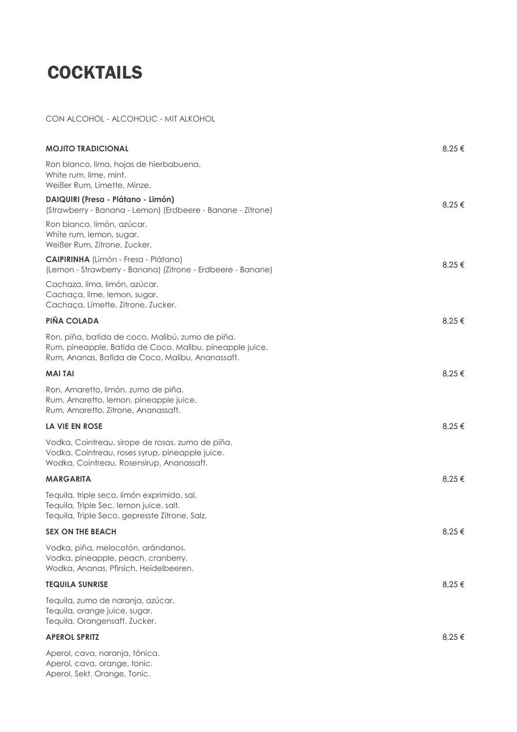# **COCKTAILS**

#### CON ALCOHOL - ALCOHOLIC - MIT ALKOHOL

| MOJITO TRADICIONAL                                                                                                                                               | 8,25 € |
|------------------------------------------------------------------------------------------------------------------------------------------------------------------|--------|
| Ron blanco, lima, hojas de hierbabuena.<br>White rum, lime, mint.<br>Weißer Rum, Limette, Minze.                                                                 |        |
| DAIQUIRI (Fresa - Plátano - Limón)<br>(Strawberry - Banana - Lemon) (Erdbeere - Banane - Zitrone)                                                                | 8,25 € |
| Ron blanco, limón, azúcar.<br>White rum, lemon, sugar.<br>Weißer Rum, Zitrone, Zucker.                                                                           |        |
| <b>CAIPIRINHA</b> (Limón - Fresa - Plátano)<br>(Lemon - Strawberry - Banana) (Zitrone - Erdbeere - Banane)                                                       | 8,25 € |
| Cachaza, lima, limón, azúcar.<br>Cachaça, lime, lemon, sugar.<br>Cachaça, Limette, Zitrone, Zucker.                                                              |        |
| PIÑA COLADA                                                                                                                                                      | 8,25 € |
| Ron, piña, batida de coco, Malibú, zumo de piña.<br>Rum, pineapple, Batida de Coco, Malibu, pineapple juice.<br>Rum, Ananas, Batida de Coco, Malibu, Ananassaft. |        |
| MAI TAI                                                                                                                                                          | 8,25 € |
| Ron, Amaretto, limón, zumo de piña.<br>Rum, Amaretto, lemon, pineapple juice.<br>Rum, Amaretto, Zitrone, Ananassaft.                                             |        |
| <b>LA VIE EN ROSE</b>                                                                                                                                            | 8,25 € |
| Vodka, Cointreau, sirope de rosas, zumo de piña.<br>Vodka, Cointreau, roses syrup, pineapple juice.<br>Wodka, Cointreau, Rosensirup, Ananassaft.                 |        |
| MARGARITA                                                                                                                                                        | 8,25€  |
| Tequila, triple seco, limón exprimido, sal.<br>Tequila, Triple Sec, lemon juice, salt.<br>Tequila, Triple Seco, gepresste Zitrone, Salz.                         |        |
| <b>SEX ON THE BEACH</b>                                                                                                                                          | 8,25 € |
| Vodka, piña, melocotón, arándanos.<br>Vodka, pineapple, peach, cranberry.<br>Wodka, Ananas, Pfirsich, Heidelbeeren.                                              |        |
| TEQUILA SUNRISE                                                                                                                                                  | 8,25 € |
| Tequila, zumo de naranja, azúcar.<br>Tequila, orange juice, sugar.<br>Tequila, Orangensaft, Zucker.                                                              |        |
| <b>APEROL SPRITZ</b>                                                                                                                                             | 8,25 € |
| Aperol, cava, naranja, tónica.<br>Aperol, cava, orange, tonic.<br>Aperol, Sekt, Orange, Tonic.                                                                   |        |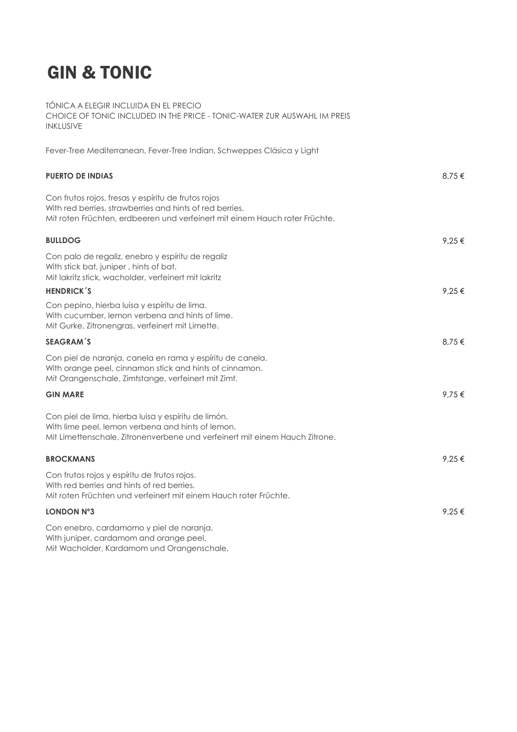# GIN & TONIC

TÓNICA A ELEGIR INCLUIDA EN EL PRECIO CHOICE OF TONIC INCLUDED IN THE PRICE - TONIC-WATER ZUR AUSWAHL IM PREIS INKLUSIVE Fever-Tree Mediterranean, Fever-Tree Indian, Schweppes Clásica y Light PUERTO DE INDIAS  $8.75 \in$ Con frutos rojos, fresas y espíritu de frutos rojos With red berries, strawberries and hints of red berries. Mit roten Früchten, erdbeeren und verfeinert mit einem Hauch roter Früchte. BULLDOG  $\begin{array}{ccccc} 9.25 & \infty & 9.25 \end{array}$ Con palo de regaliz, enebro y espíritu de regaliz With stick bat, juniper , hints of bat. Mit lakritz stick, wacholder, verfeinert mit lakritz HENDRICK´S  $9.25 \in$ Con pepino, hierba luisa y espíritu de lima. With cucumber, lemon verbena and hints of lime. Mit Gurke, Zitronengras, verfeinert mit Limette. SEAGRAM´S  $8.75 \in$ Con piel de naranja, canela en rama y espíritu de canela. With orange peel, cinnamon stick and hints of cinnamon. Mit Orangenschale, Zimtstange, verfeinert mit Zimt. GIN MARE  $\begin{array}{cc} 9,75 \in \end{array}$ Con piel de lima, hierba luisa y espíritu de limón. With lime peel, lemon verbena and hints of lemon. Mit Limettenschale, Zitronenverbene und verfeinert mit einem Hauch Zitrone. BROCKMANS  $9.25 \in$ Con frutos rojos y espíritu de frutos rojos. With red berries and hints of red berries. Mit roten Früchten und verfeinert mit einem Hauch roter Früchte. LONDON N°3  $9.25 \in$ Con enebro, cardamomo y piel de naranja. With juniper, cardamom and orange peel.

Mit Wacholder, Kardamom und Orangenschale.